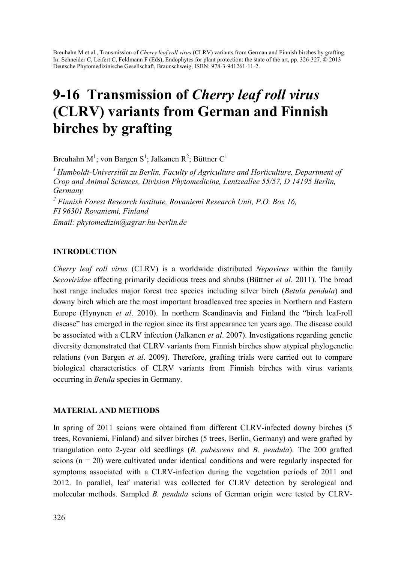Breuhahn M et al., Transmission of *Cherry leaf roll virus* (CLRV) variants from German and Finnish birches by grafting. In: Schneider C, Leifert C, Feldmann F (Eds), Endophytes for plant protection: the state of the art, pp. 326-327. © 2013 Deutsche Phytomedizinische Gesellschaft, Braunschweig, ISBN: 978-3-941261-11-2.

# 9-16 Transmission of *Cherry leaf roll virus* (CLRV) variants from German and Finnish birches by grafting

Breuhahn M<sup>1</sup>; von Bargen S<sup>1</sup>; Jalkanen R<sup>2</sup>; Büttner C<sup>1</sup>

*1 Humboldt-Universität zu Berlin, Faculty of Agriculture and Horticulture, Department of Crop and Animal Sciences, Division Phytomedicine, Lentzeallee 55/57, D 14195 Berlin, Germany*  <sup>2</sup> Finnish Forest Research Institute, Rovaniemi Research Unit, P.O. Box 16, *FI 96301 Rovaniemi, Finland Email: phytomedizin@agrar.hu-berlin.de* 

## INTRODUCTION

*Cherry leaf roll virus* (CLRV) is a worldwide distributed *Nepovirus* within the family *Secoviridae* affecting primarily decidious trees and shrubs (Büttner *et al*. 2011). The broad host range includes major forest tree species including silver birch (*Betula pendula*) and downy birch which are the most important broadleaved tree species in Northern and Eastern Europe (Hynynen *et al*. 2010). In northern Scandinavia and Finland the "birch leaf-roll disease" has emerged in the region since its first appearance ten years ago. The disease could be associated with a CLRV infection (Jalkanen *et al*. 2007). Investigations regarding genetic diversity demonstrated that CLRV variants from Finnish birches show atypical phylogenetic relations (von Bargen *et al*. 2009). Therefore, grafting trials were carried out to compare biological characteristics of CLRV variants from Finnish birches with virus variants occurring in *Betula* species in Germany.

## MATERIAL AND METHODS

In spring of 2011 scions were obtained from different CLRV-infected downy birches (5 trees, Rovaniemi, Finland) and silver birches (5 trees, Berlin, Germany) and were grafted by triangulation onto 2-year old seedlings (*B. pubescens* and *B. pendula*). The 200 grafted scions (n = 20) were cultivated under identical conditions and were regularly inspected for symptoms associated with a CLRV-infection during the vegetation periods of 2011 and 2012. In parallel, leaf material was collected for CLRV detection by serological and molecular methods. Sampled *B. pendula* scions of German origin were tested by CLRV-